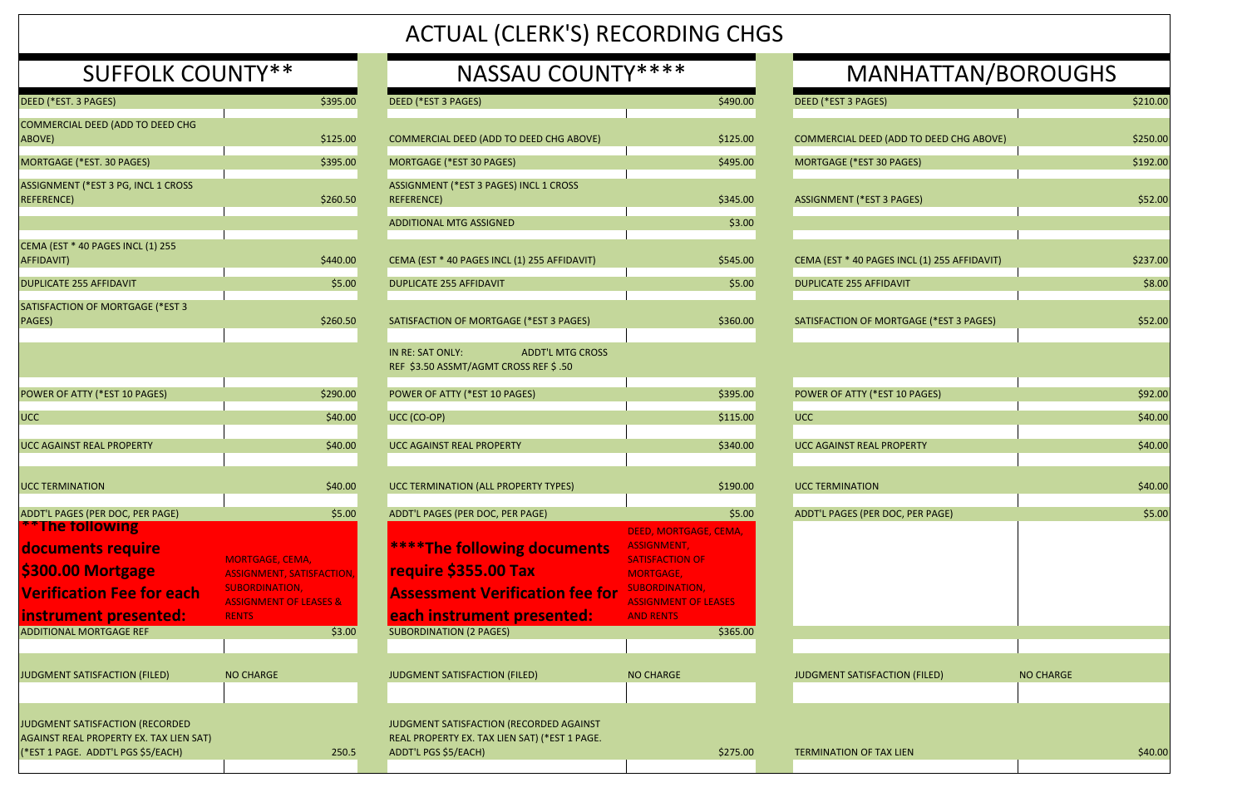| DEED (*EST. 3 PAGES)                                                                                             | \$395.00                                                                                       |
|------------------------------------------------------------------------------------------------------------------|------------------------------------------------------------------------------------------------|
| COMMERCIAL DEED (ADD TO DEED CHG<br>ABOVE)                                                                       | \$125.00                                                                                       |
| MORTGAGE (*EST. 30 PAGES)                                                                                        | \$395.00                                                                                       |
| ASSIGNMENT (*EST 3 PG, INCL 1 CROSS<br><b>REFERENCE</b> )                                                        | \$260.50                                                                                       |
|                                                                                                                  |                                                                                                |
| CEMA (EST * 40 PAGES INCL (1) 255<br>AFFIDAVIT)                                                                  | \$440.00                                                                                       |
| <b>DUPLICATE 255 AFFIDAVIT</b>                                                                                   | \$5.00                                                                                         |
| SATISFACTION OF MORTGAGE (*EST 3<br><b>PAGES)</b>                                                                | \$260.50                                                                                       |
|                                                                                                                  |                                                                                                |
| POWER OF ATTY (*EST 10 PAGES)                                                                                    | \$290.00                                                                                       |
| UCC                                                                                                              | \$40.00                                                                                        |
| <b>UCC AGAINST REAL PROPERTY</b>                                                                                 | \$40.00                                                                                        |
| <b>UCC TERMINATION</b>                                                                                           | \$40.00                                                                                        |
| ADDT'L PAGES (PER DOC, PER PAGE)                                                                                 | \$5.00                                                                                         |
| <b>**The following</b><br>documents require                                                                      | <b>MORTGAGE, CEMA,</b>                                                                         |
| \$300.00 Mortgage<br><b>Verification Fee for each</b>                                                            | <b>ASSIGNMENT, SATISFACTION,</b><br><b>SUBORDINATION,</b><br><b>ASSIGNMENT OF LEASES &amp;</b> |
| instrument presented:                                                                                            | <b>RENTS</b>                                                                                   |
| <b>ADDITIONAL MORTGAGE REF</b>                                                                                   | \$3.00                                                                                         |
| JUDGMENT SATISFACTION (FILED)                                                                                    | <b>NO CHARGE</b>                                                                               |
|                                                                                                                  |                                                                                                |
| JUDGMENT SATISFACTION (RECORDED<br>AGAINST REAL PROPERTY EX. TAX LIEN SAT)<br>(*EST 1 PAGE. ADDT'L PGS \$5/EACH) | 250.5                                                                                          |

| DEED (*EST. 3 PAGES)                                                                                             | \$395.00                                                                                                                 | DEED (*EST 3 PAGES)                                                                                              | \$490.00                                                                                                                                   | DEED (*EST 3 PAGES)                          | \$210.00         |
|------------------------------------------------------------------------------------------------------------------|--------------------------------------------------------------------------------------------------------------------------|------------------------------------------------------------------------------------------------------------------|--------------------------------------------------------------------------------------------------------------------------------------------|----------------------------------------------|------------------|
| COMMERCIAL DEED (ADD TO DEED CHG<br>ABOVE)                                                                       | \$125.00                                                                                                                 | COMMERCIAL DEED (ADD TO DEED CHG ABOVE)                                                                          | \$125.00                                                                                                                                   | COMMERCIAL DEED (ADD TO DEED CHG ABOVE)      | \$250.00         |
| MORTGAGE (*EST. 30 PAGES)                                                                                        | \$395.00                                                                                                                 | MORTGAGE (*EST 30 PAGES)                                                                                         | \$495.00                                                                                                                                   | MORTGAGE (*EST 30 PAGES)                     | \$192.00         |
| ASSIGNMENT (*EST 3 PG, INCL 1 CROSS<br><b>REFERENCE)</b>                                                         | \$260.50                                                                                                                 | ASSIGNMENT (*EST 3 PAGES) INCL 1 CROSS<br><b>REFERENCE</b> )                                                     | \$345.00                                                                                                                                   | <b>ASSIGNMENT (*EST 3 PAGES)</b>             | \$52.00          |
|                                                                                                                  |                                                                                                                          | <b>ADDITIONAL MTG ASSIGNED</b>                                                                                   | \$3.00                                                                                                                                     |                                              |                  |
| CEMA (EST * 40 PAGES INCL (1) 255<br>AFFIDAVIT)                                                                  | \$440.00                                                                                                                 | CEMA (EST * 40 PAGES INCL (1) 255 AFFIDAVIT)                                                                     | \$545.00                                                                                                                                   | CEMA (EST * 40 PAGES INCL (1) 255 AFFIDAVIT) | \$237.00         |
| <b>DUPLICATE 255 AFFIDAVIT</b>                                                                                   | \$5.00                                                                                                                   | <b>DUPLICATE 255 AFFIDAVIT</b>                                                                                   | \$5.00                                                                                                                                     | <b>DUPLICATE 255 AFFIDAVIT</b>               | \$8.00           |
| SATISFACTION OF MORTGAGE (*EST 3<br>PAGES)                                                                       | \$260.50                                                                                                                 | SATISFACTION OF MORTGAGE (*EST 3 PAGES)                                                                          | \$360.00                                                                                                                                   | SATISFACTION OF MORTGAGE (*EST 3 PAGES)      | \$52.00          |
|                                                                                                                  |                                                                                                                          | IN RE: SAT ONLY:<br><b>ADDT'L MTG CROSS</b><br>REF \$3.50 ASSMT/AGMT CROSS REF \$.50                             |                                                                                                                                            |                                              |                  |
| POWER OF ATTY (*EST 10 PAGES)                                                                                    | \$290.00                                                                                                                 | POWER OF ATTY (*EST 10 PAGES)                                                                                    | \$395.00                                                                                                                                   | POWER OF ATTY (*EST 10 PAGES)                | \$92.00          |
| <b>UCC</b>                                                                                                       | \$40.00                                                                                                                  | UCC (CO-OP)                                                                                                      | \$115.00                                                                                                                                   | <b>UCC</b>                                   | \$40.00          |
| UCC AGAINST REAL PROPERTY                                                                                        | \$40.00                                                                                                                  | UCC AGAINST REAL PROPERTY                                                                                        | \$340.00                                                                                                                                   | UCC AGAINST REAL PROPERTY                    | \$40.00          |
| <b>UCC TERMINATION</b>                                                                                           | \$40.00                                                                                                                  | UCC TERMINATION (ALL PROPERTY TYPES)                                                                             | \$190.00                                                                                                                                   | <b>UCC TERMINATION</b>                       | \$40.00          |
| ADDT'L PAGES (PER DOC, PER PAGE)                                                                                 | \$5.00                                                                                                                   | ADDT'L PAGES (PER DOC, PER PAGE)                                                                                 | \$5.00                                                                                                                                     | ADDT'L PAGES (PER DOC, PER PAGE)             | \$5.00           |
| <b>**The following</b><br>documents require<br>\$300.00 Mortgage<br><b>Verification Fee for each</b>             | <b>MORTGAGE, CEMA,</b><br><b>ASSIGNMENT, SATISFACTION,</b><br><b>SUBORDINATION,</b><br><b>ASSIGNMENT OF LEASES &amp;</b> | ****The following documents<br>require \$355.00 Tax<br><b>Assessment Verification fee for</b>                    | DEED, MORTGAGE, CEMA,<br>ASSIGNMENT,<br><b>SATISFACTION OF</b><br><b>MORTGAGE,</b><br><b>SUBORDINATION,</b><br><b>ASSIGNMENT OF LEASES</b> |                                              |                  |
| instrument presented:<br><b>ADDITIONAL MORTGAGE REF</b>                                                          | <b>RENTS</b><br>\$3.00                                                                                                   | each instrument presented:<br><b>SUBORDINATION (2 PAGES)</b>                                                     | <b>AND RENTS</b><br>\$365.00                                                                                                               |                                              |                  |
|                                                                                                                  |                                                                                                                          |                                                                                                                  |                                                                                                                                            |                                              |                  |
| JUDGMENT SATISFACTION (FILED)                                                                                    | <b>NO CHARGE</b>                                                                                                         | JUDGMENT SATISFACTION (FILED)                                                                                    | <b>NO CHARGE</b>                                                                                                                           | JUDGMENT SATISFACTION (FILED)                | <b>NO CHARGE</b> |
| JUDGMENT SATISFACTION (RECORDED<br>AGAINST REAL PROPERTY EX. TAX LIEN SAT)<br>(*EST 1 PAGE. ADDT'L PGS \$5/EACH) | 250.5                                                                                                                    | JUDGMENT SATISFACTION (RECORDED AGAINST<br>REAL PROPERTY EX. TAX LIEN SAT) (*EST 1 PAGE.<br>ADDT'L PGS \$5/EACH) | \$275.00                                                                                                                                   | <b>TERMINATION OF TAX LIEN</b>               | \$40.00          |

| ATTAN/BOROUGHS       |                  |  |  |  |  |
|----------------------|------------------|--|--|--|--|
|                      | \$210.00         |  |  |  |  |
| O DEED CHG ABOVE)    | \$250.00         |  |  |  |  |
| 5)                   | \$192.00         |  |  |  |  |
| S)                   | \$52.00          |  |  |  |  |
|                      |                  |  |  |  |  |
| $(1)$ 255 AFFIDAVIT) | \$237.00         |  |  |  |  |
|                      | \$8.00           |  |  |  |  |
| GE (*EST 3 PAGES)    | \$52.00          |  |  |  |  |
|                      |                  |  |  |  |  |
| AGES)                | \$92.00          |  |  |  |  |
|                      | \$40.00          |  |  |  |  |
| <b>TY</b>            | \$40.00          |  |  |  |  |
|                      | \$40.00          |  |  |  |  |
| <b>R PAGE)</b>       | \$5.00           |  |  |  |  |
|                      |                  |  |  |  |  |
|                      |                  |  |  |  |  |
|                      |                  |  |  |  |  |
| <b>FILED)</b>        | <b>NO CHARGE</b> |  |  |  |  |
|                      |                  |  |  |  |  |
|                      |                  |  |  |  |  |
|                      | \$40.00          |  |  |  |  |

## ACTUAL (CLERK'S) RECORDING CHGS

| <b>SUFFOLK COUNTY**</b> | NASSAU COUNTY**** |  |
|-------------------------|-------------------|--|
|                         |                   |  |